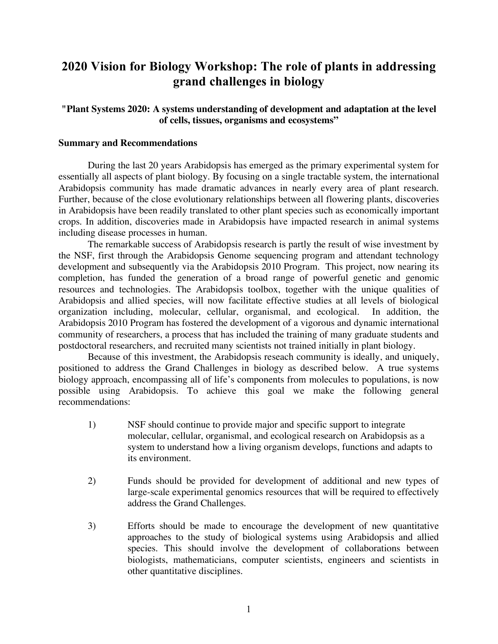# **2020 Vision for Biology Workshop: The role of plants in addressing grand challenges in biology**

# **"Plant Systems 2020: A systems understanding of development and adaptation at the level of cells, tissues, organisms and ecosystems"**

# **Summary and Recommendations**

During the last 20 years Arabidopsis has emerged as the primary experimental system for essentially all aspects of plant biology. By focusing on a single tractable system, the international Arabidopsis community has made dramatic advances in nearly every area of plant research. Further, because of the close evolutionary relationships between all flowering plants, discoveries in Arabidopsis have been readily translated to other plant species such as economically important crops. In addition, discoveries made in Arabidopsis have impacted research in animal systems including disease processes in human.

The remarkable success of Arabidopsis research is partly the result of wise investment by the NSF, first through the Arabidopsis Genome sequencing program and attendant technology development and subsequently via the Arabidopsis 2010 Program. This project, now nearing its completion, has funded the generation of a broad range of powerful genetic and genomic resources and technologies. The Arabidopsis toolbox, together with the unique qualities of Arabidopsis and allied species, will now facilitate effective studies at all levels of biological organization including, molecular, cellular, organismal, and ecological. In addition, the Arabidopsis 2010 Program has fostered the development of a vigorous and dynamic international community of researchers, a process that has included the training of many graduate students and postdoctoral researchers, and recruited many scientists not trained initially in plant biology.

Because of this investment, the Arabidopsis reseach community is ideally, and uniquely, positioned to address the Grand Challenges in biology as described below. A true systems biology approach, encompassing all of life's components from molecules to populations, is now possible using Arabidopsis. To achieve this goal we make the following general recommendations:

- 1) NSF should continue to provide major and specific support to integrate molecular, cellular, organismal, and ecological research on Arabidopsis as a system to understand how a living organism develops, functions and adapts to its environment.
- 2) Funds should be provided for development of additional and new types of large-scale experimental genomics resources that will be required to effectively address the Grand Challenges.
- 3) Efforts should be made to encourage the development of new quantitative approaches to the study of biological systems using Arabidopsis and allied species. This should involve the development of collaborations between biologists, mathematicians, computer scientists, engineers and scientists in other quantitative disciplines.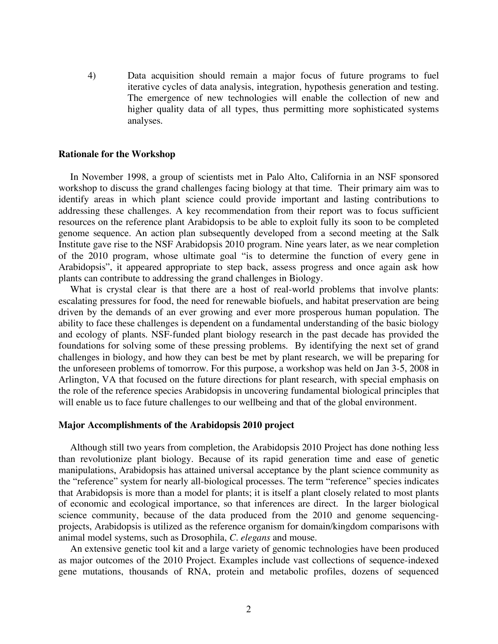4) Data acquisition should remain a major focus of future programs to fuel iterative cycles of data analysis, integration, hypothesis generation and testing. The emergence of new technologies will enable the collection of new and higher quality data of all types, thus permitting more sophisticated systems analyses.

#### **Rationale for the Workshop**

In November 1998, a group of scientists met in Palo Alto, California in an NSF sponsored workshop to discuss the grand challenges facing biology at that time. Their primary aim was to identify areas in which plant science could provide important and lasting contributions to addressing these challenges. A key recommendation from their report was to focus sufficient resources on the reference plant Arabidopsis to be able to exploit fully its soon to be completed genome sequence. An action plan subsequently developed from a second meeting at the Salk Institute gave rise to the NSF Arabidopsis 2010 program. Nine years later, as we near completion of the 2010 program, whose ultimate goal "is to determine the function of every gene in Arabidopsis", it appeared appropriate to step back, assess progress and once again ask how plants can contribute to addressing the grand challenges in Biology.

What is crystal clear is that there are a host of real-world problems that involve plants: escalating pressures for food, the need for renewable biofuels, and habitat preservation are being driven by the demands of an ever growing and ever more prosperous human population. The ability to face these challenges is dependent on a fundamental understanding of the basic biology and ecology of plants. NSF-funded plant biology research in the past decade has provided the foundations for solving some of these pressing problems. By identifying the next set of grand challenges in biology, and how they can best be met by plant research, we will be preparing for the unforeseen problems of tomorrow. For this purpose, a workshop was held on Jan 3-5, 2008 in Arlington, VA that focused on the future directions for plant research, with special emphasis on the role of the reference species Arabidopsis in uncovering fundamental biological principles that will enable us to face future challenges to our wellbeing and that of the global environment.

# **Major Accomplishments of the Arabidopsis 2010 project**

Although still two years from completion, the Arabidopsis 2010 Project has done nothing less than revolutionize plant biology. Because of its rapid generation time and ease of genetic manipulations, Arabidopsis has attained universal acceptance by the plant science community as the "reference" system for nearly all-biological processes. The term "reference" species indicates that Arabidopsis is more than a model for plants; it is itself a plant closely related to most plants of economic and ecological importance, so that inferences are direct. In the larger biological science community, because of the data produced from the 2010 and genome sequencingprojects, Arabidopsis is utilized as the reference organism for domain/kingdom comparisons with animal model systems, such as Drosophila, *C. elegans* and mouse.

An extensive genetic tool kit and a large variety of genomic technologies have been produced as major outcomes of the 2010 Project. Examples include vast collections of sequence-indexed gene mutations, thousands of RNA, protein and metabolic profiles, dozens of sequenced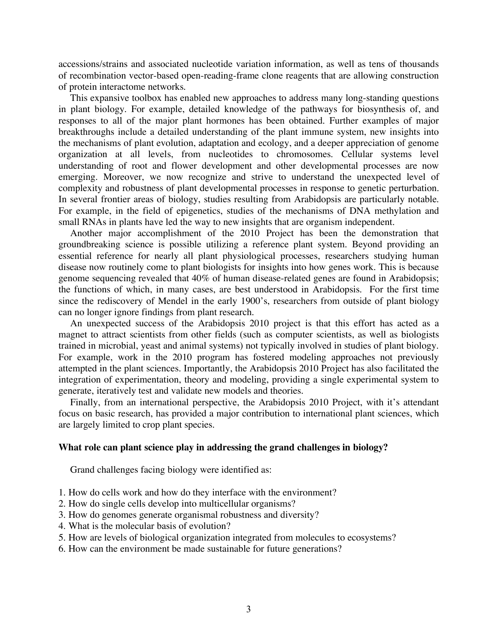accessions/strains and associated nucleotide variation information, as well as tens of thousands of recombination vector-based open-reading-frame clone reagents that are allowing construction of protein interactome networks.

This expansive toolbox has enabled new approaches to address many long-standing questions in plant biology. For example, detailed knowledge of the pathways for biosynthesis of, and responses to all of the major plant hormones has been obtained. Further examples of major breakthroughs include a detailed understanding of the plant immune system, new insights into the mechanisms of plant evolution, adaptation and ecology, and a deeper appreciation of genome organization at all levels, from nucleotides to chromosomes. Cellular systems level understanding of root and flower development and other developmental processes are now emerging. Moreover, we now recognize and strive to understand the unexpected level of complexity and robustness of plant developmental processes in response to genetic perturbation. In several frontier areas of biology, studies resulting from Arabidopsis are particularly notable. For example, in the field of epigenetics, studies of the mechanisms of DNA methylation and small RNAs in plants have led the way to new insights that are organism independent.

Another major accomplishment of the 2010 Project has been the demonstration that groundbreaking science is possible utilizing a reference plant system. Beyond providing an essential reference for nearly all plant physiological processes, researchers studying human disease now routinely come to plant biologists for insights into how genes work. This is because genome sequencing revealed that 40% of human disease-related genes are found in Arabidopsis; the functions of which, in many cases, are best understood in Arabidopsis. For the first time since the rediscovery of Mendel in the early 1900's, researchers from outside of plant biology can no longer ignore findings from plant research.

An unexpected success of the Arabidopsis 2010 project is that this effort has acted as a magnet to attract scientists from other fields (such as computer scientists, as well as biologists trained in microbial, yeast and animal systems) not typically involved in studies of plant biology. For example, work in the 2010 program has fostered modeling approaches not previously attempted in the plant sciences. Importantly, the Arabidopsis 2010 Project has also facilitated the integration of experimentation, theory and modeling, providing a single experimental system to generate, iteratively test and validate new models and theories.

Finally, from an international perspective, the Arabidopsis 2010 Project, with it's attendant focus on basic research, has provided a major contribution to international plant sciences, which are largely limited to crop plant species.

# **What role can plant science play in addressing the grand challenges in biology?**

Grand challenges facing biology were identified as:

- 1. How do cells work and how do they interface with the environment?
- 2. How do single cells develop into multicellular organisms?
- 3. How do genomes generate organismal robustness and diversity?
- 4. What is the molecular basis of evolution?
- 5. How are levels of biological organization integrated from molecules to ecosystems?
- 6. How can the environment be made sustainable for future generations?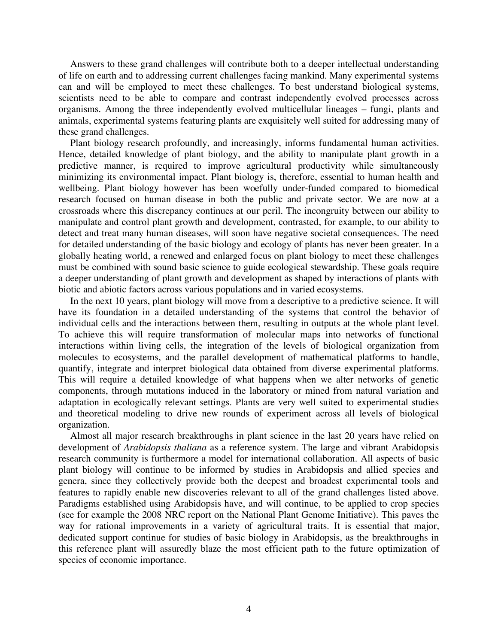Answers to these grand challenges will contribute both to a deeper intellectual understanding of life on earth and to addressing current challenges facing mankind. Many experimental systems can and will be employed to meet these challenges. To best understand biological systems, scientists need to be able to compare and contrast independently evolved processes across organisms. Among the three independently evolved multicellular lineages – fungi, plants and animals, experimental systems featuring plants are exquisitely well suited for addressing many of these grand challenges.

Plant biology research profoundly, and increasingly, informs fundamental human activities. Hence, detailed knowledge of plant biology, and the ability to manipulate plant growth in a predictive manner, is required to improve agricultural productivity while simultaneously minimizing its environmental impact. Plant biology is, therefore, essential to human health and wellbeing. Plant biology however has been woefully under-funded compared to biomedical research focused on human disease in both the public and private sector. We are now at a crossroads where this discrepancy continues at our peril. The incongruity between our ability to manipulate and control plant growth and development, contrasted, for example, to our ability to detect and treat many human diseases, will soon have negative societal consequences. The need for detailed understanding of the basic biology and ecology of plants has never been greater. In a globally heating world, a renewed and enlarged focus on plant biology to meet these challenges must be combined with sound basic science to guide ecological stewardship. These goals require a deeper understanding of plant growth and development as shaped by interactions of plants with biotic and abiotic factors across various populations and in varied ecosystems.

In the next 10 years, plant biology will move from a descriptive to a predictive science. It will have its foundation in a detailed understanding of the systems that control the behavior of individual cells and the interactions between them, resulting in outputs at the whole plant level. To achieve this will require transformation of molecular maps into networks of functional interactions within living cells, the integration of the levels of biological organization from molecules to ecosystems, and the parallel development of mathematical platforms to handle, quantify, integrate and interpret biological data obtained from diverse experimental platforms. This will require a detailed knowledge of what happens when we alter networks of genetic components, through mutations induced in the laboratory or mined from natural variation and adaptation in ecologically relevant settings. Plants are very well suited to experimental studies and theoretical modeling to drive new rounds of experiment across all levels of biological organization.

Almost all major research breakthroughs in plant science in the last 20 years have relied on development of *Arabidopsis thaliana* as a reference system. The large and vibrant Arabidopsis research community is furthermore a model for international collaboration. All aspects of basic plant biology will continue to be informed by studies in Arabidopsis and allied species and genera, since they collectively provide both the deepest and broadest experimental tools and features to rapidly enable new discoveries relevant to all of the grand challenges listed above. Paradigms established using Arabidopsis have, and will continue, to be applied to crop species (see for example the 2008 NRC report on the National Plant Genome Initiative). This paves the way for rational improvements in a variety of agricultural traits. It is essential that major, dedicated support continue for studies of basic biology in Arabidopsis, as the breakthroughs in this reference plant will assuredly blaze the most efficient path to the future optimization of species of economic importance.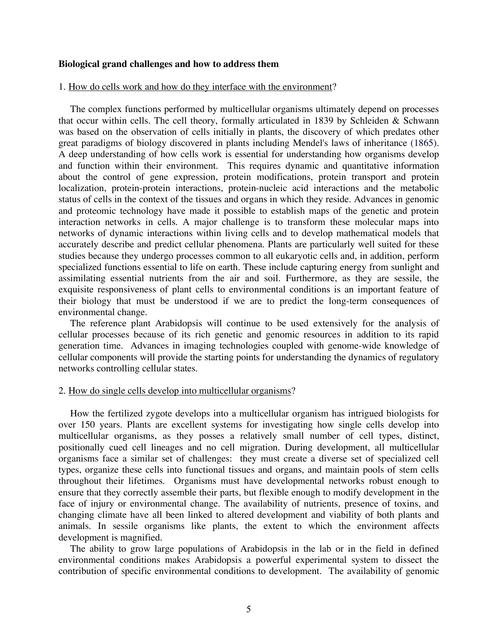#### **Biological grand challenges and how to address them**

#### 1. How do cells work and how do they interface with the environment?

The complex functions performed by multicellular organisms ultimately depend on processes that occur within cells. The cell theory, formally articulated in 1839 by Schleiden & Schwann was based on the observation of cells initially in plants, the discovery of which predates other great paradigms of biology discovered in plants including Mendel's laws of inheritance (1865). A deep understanding of how cells work is essential for understanding how organisms develop and function within their environment. This requires dynamic and quantitative information about the control of gene expression, protein modifications, protein transport and protein localization, protein-protein interactions, protein-nucleic acid interactions and the metabolic status of cells in the context of the tissues and organs in which they reside. Advances in genomic and proteomic technology have made it possible to establish maps of the genetic and protein interaction networks in cells. A major challenge is to transform these molecular maps into networks of dynamic interactions within living cells and to develop mathematical models that accurately describe and predict cellular phenomena. Plants are particularly well suited for these studies because they undergo processes common to all eukaryotic cells and, in addition, perform specialized functions essential to life on earth. These include capturing energy from sunlight and assimilating essential nutrients from the air and soil. Furthermore, as they are sessile, the exquisite responsiveness of plant cells to environmental conditions is an important feature of their biology that must be understood if we are to predict the long-term consequences of environmental change.

The reference plant Arabidopsis will continue to be used extensively for the analysis of cellular processes because of its rich genetic and genomic resources in addition to its rapid generation time. Advances in imaging technologies coupled with genome-wide knowledge of cellular components will provide the starting points for understanding the dynamics of regulatory networks controlling cellular states.

# 2. How do single cells develop into multicellular organisms?

How the fertilized zygote develops into a multicellular organism has intrigued biologists for over 150 years. Plants are excellent systems for investigating how single cells develop into multicellular organisms, as they posses a relatively small number of cell types, distinct, positionally cued cell lineages and no cell migration. During development, all multicellular organisms face a similar set of challenges: they must create a diverse set of specialized cell types, organize these cells into functional tissues and organs, and maintain pools of stem cells throughout their lifetimes. Organisms must have developmental networks robust enough to ensure that they correctly assemble their parts, but flexible enough to modify development in the face of injury or environmental change. The availability of nutrients, presence of toxins, and changing climate have all been linked to altered development and viability of both plants and animals. In sessile organisms like plants, the extent to which the environment affects development is magnified.

The ability to grow large populations of Arabidopsis in the lab or in the field in defined environmental conditions makes Arabidopsis a powerful experimental system to dissect the contribution of specific environmental conditions to development. The availability of genomic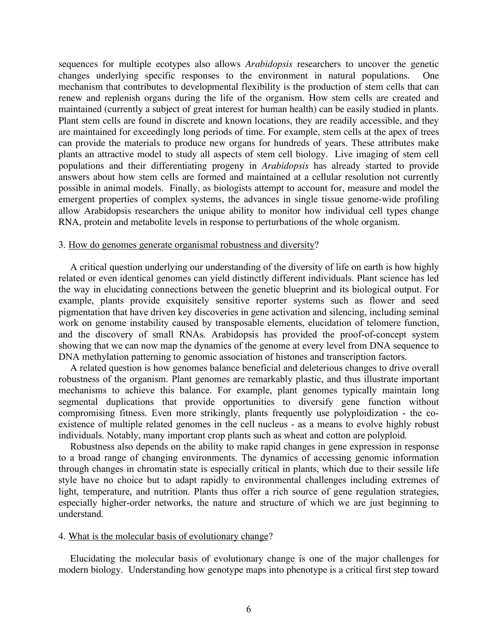sequences for multiple ecotypes also allows *Arabidopsis* researchers to uncover the genetic changes underlying specific responses to the environment in natural populations. One mechanism that contributes to developmental flexibility is the production of stem cells that can renew and replenish organs during the life of the organism. How stem cells are created and maintained (currently a subject of great interest for human health) can be easily studied in plants. Plant stem cells are found in discrete and known locations, they are readily accessible, and they are maintained for exceedingly long periods of time. For example, stem cells at the apex of trees can provide the materials to produce new organs for hundreds of years. These attributes make plants an attractive model to study all aspects of stem cell biology. Live imaging of stem cell populations and their differentiating progeny in *Arabidopsis* has already started to provide answers about how stem cells are formed and maintained at a cellular resolution not currently possible in animal models. Finally, as biologists attempt to account for, measure and model the emergent properties of complex systems, the advances in single tissue genome-wide profiling allow Arabidopsis researchers the unique ability to monitor how individual cell types change RNA, protein and metabolite levels in response to perturbations of the whole organism.

#### 3. How do genomes generate organismal robustness and diversity?

A critical question underlying our understanding of the diversity of life on earth is how highly related or even identical genomes can yield distinctly different individuals. Plant science has led the way in elucidating connections between the genetic blueprint and its biological output. For example, plants provide exquisitely sensitive reporter systems such as flower and seed pigmentation that have driven key discoveries in gene activation and silencing, including seminal work on genome instability caused by transposable elements, elucidation of telomere function, and the discovery of small RNAs. Arabidopsis has provided the proof-of-concept system showing that we can now map the dynamics of the genome at every level from DNA sequence to DNA methylation patterning to genomic association of histones and transcription factors.

A related question is how genomes balance beneficial and deleterious changes to drive overall robustness of the organism. Plant genomes are remarkably plastic, and thus illustrate important mechanisms to achieve this balance. For example, plant genomes typically maintain long segmental duplications that provide opportunities to diversify gene function without compromising fitness. Even more strikingly, plants frequently use polyploidization - the coexistence of multiple related genomes in the cell nucleus - as a means to evolve highly robust individuals. Notably, many important crop plants such as wheat and cotton are polyploid.

Robustness also depends on the ability to make rapid changes in gene expression in response to a broad range of changing environments. The dynamics of accessing genomic information through changes in chromatin state is especially critical in plants, which due to their sessile life style have no choice but to adapt rapidly to environmental challenges including extremes of light, temperature, and nutrition. Plants thus offer a rich source of gene regulation strategies, especially higher-order networks, the nature and structure of which we are just beginning to understand.

# 4. What is the molecular basis of evolutionary change?

Elucidating the molecular basis of evolutionary change is one of the major challenges for modern biology. Understanding how genotype maps into phenotype is a critical first step toward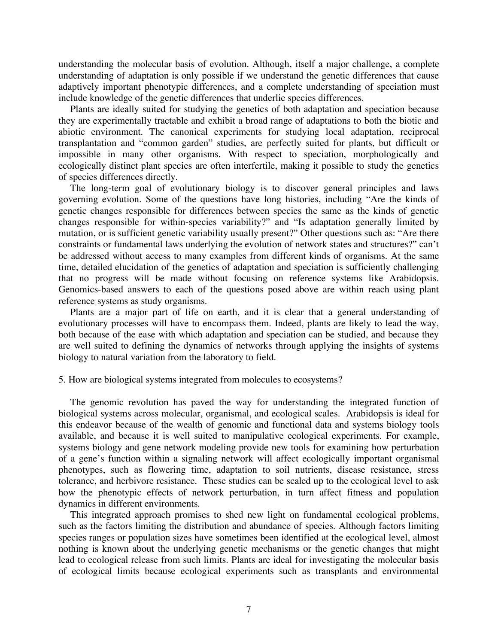understanding the molecular basis of evolution. Although, itself a major challenge, a complete understanding of adaptation is only possible if we understand the genetic differences that cause adaptively important phenotypic differences, and a complete understanding of speciation must include knowledge of the genetic differences that underlie species differences.

Plants are ideally suited for studying the genetics of both adaptation and speciation because they are experimentally tractable and exhibit a broad range of adaptations to both the biotic and abiotic environment. The canonical experiments for studying local adaptation, reciprocal transplantation and "common garden" studies, are perfectly suited for plants, but difficult or impossible in many other organisms. With respect to speciation, morphologically and ecologically distinct plant species are often interfertile, making it possible to study the genetics of species differences directly.

The long-term goal of evolutionary biology is to discover general principles and laws governing evolution. Some of the questions have long histories, including "Are the kinds of genetic changes responsible for differences between species the same as the kinds of genetic changes responsible for within-species variability?" and "Is adaptation generally limited by mutation, or is sufficient genetic variability usually present?" Other questions such as: "Are there constraints or fundamental laws underlying the evolution of network states and structures?" can't be addressed without access to many examples from different kinds of organisms. At the same time, detailed elucidation of the genetics of adaptation and speciation is sufficiently challenging that no progress will be made without focusing on reference systems like Arabidopsis. Genomics-based answers to each of the questions posed above are within reach using plant reference systems as study organisms.

Plants are a major part of life on earth, and it is clear that a general understanding of evolutionary processes will have to encompass them. Indeed, plants are likely to lead the way, both because of the ease with which adaptation and speciation can be studied, and because they are well suited to defining the dynamics of networks through applying the insights of systems biology to natural variation from the laboratory to field.

# 5. How are biological systems integrated from molecules to ecosystems?

The genomic revolution has paved the way for understanding the integrated function of biological systems across molecular, organismal, and ecological scales. Arabidopsis is ideal for this endeavor because of the wealth of genomic and functional data and systems biology tools available, and because it is well suited to manipulative ecological experiments. For example, systems biology and gene network modeling provide new tools for examining how perturbation of a gene's function within a signaling network will affect ecologically important organismal phenotypes, such as flowering time, adaptation to soil nutrients, disease resistance, stress tolerance, and herbivore resistance. These studies can be scaled up to the ecological level to ask how the phenotypic effects of network perturbation, in turn affect fitness and population dynamics in different environments.

This integrated approach promises to shed new light on fundamental ecological problems, such as the factors limiting the distribution and abundance of species. Although factors limiting species ranges or population sizes have sometimes been identified at the ecological level, almost nothing is known about the underlying genetic mechanisms or the genetic changes that might lead to ecological release from such limits. Plants are ideal for investigating the molecular basis of ecological limits because ecological experiments such as transplants and environmental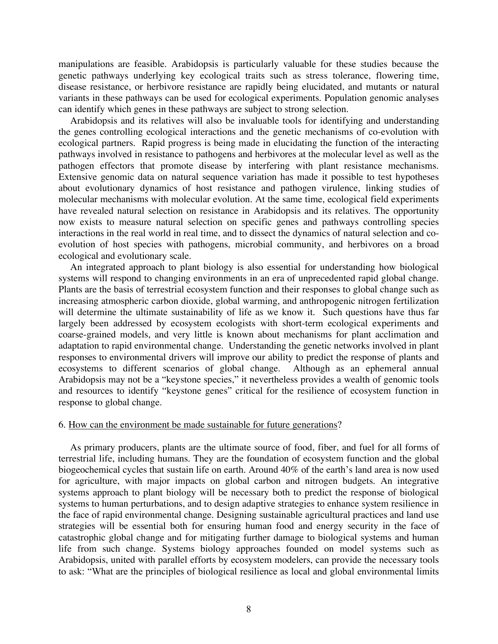manipulations are feasible. Arabidopsis is particularly valuable for these studies because the genetic pathways underlying key ecological traits such as stress tolerance, flowering time, disease resistance, or herbivore resistance are rapidly being elucidated, and mutants or natural variants in these pathways can be used for ecological experiments. Population genomic analyses can identify which genes in these pathways are subject to strong selection.

Arabidopsis and its relatives will also be invaluable tools for identifying and understanding the genes controlling ecological interactions and the genetic mechanisms of co-evolution with ecological partners. Rapid progress is being made in elucidating the function of the interacting pathways involved in resistance to pathogens and herbivores at the molecular level as well as the pathogen effectors that promote disease by interfering with plant resistance mechanisms. Extensive genomic data on natural sequence variation has made it possible to test hypotheses about evolutionary dynamics of host resistance and pathogen virulence, linking studies of molecular mechanisms with molecular evolution. At the same time, ecological field experiments have revealed natural selection on resistance in Arabidopsis and its relatives. The opportunity now exists to measure natural selection on specific genes and pathways controlling species interactions in the real world in real time, and to dissect the dynamics of natural selection and coevolution of host species with pathogens, microbial community, and herbivores on a broad ecological and evolutionary scale.

An integrated approach to plant biology is also essential for understanding how biological systems will respond to changing environments in an era of unprecedented rapid global change. Plants are the basis of terrestrial ecosystem function and their responses to global change such as increasing atmospheric carbon dioxide, global warming, and anthropogenic nitrogen fertilization will determine the ultimate sustainability of life as we know it. Such questions have thus far largely been addressed by ecosystem ecologists with short-term ecological experiments and coarse-grained models, and very little is known about mechanisms for plant acclimation and adaptation to rapid environmental change. Understanding the genetic networks involved in plant responses to environmental drivers will improve our ability to predict the response of plants and ecosystems to different scenarios of global change. Although as an ephemeral annual Arabidopsis may not be a "keystone species," it nevertheless provides a wealth of genomic tools and resources to identify "keystone genes" critical for the resilience of ecosystem function in response to global change.

# 6. How can the environment be made sustainable for future generations?

As primary producers, plants are the ultimate source of food, fiber, and fuel for all forms of terrestrial life, including humans. They are the foundation of ecosystem function and the global biogeochemical cycles that sustain life on earth. Around 40% of the earth's land area is now used for agriculture, with major impacts on global carbon and nitrogen budgets. An integrative systems approach to plant biology will be necessary both to predict the response of biological systems to human perturbations, and to design adaptive strategies to enhance system resilience in the face of rapid environmental change. Designing sustainable agricultural practices and land use strategies will be essential both for ensuring human food and energy security in the face of catastrophic global change and for mitigating further damage to biological systems and human life from such change. Systems biology approaches founded on model systems such as Arabidopsis, united with parallel efforts by ecosystem modelers, can provide the necessary tools to ask: "What are the principles of biological resilience as local and global environmental limits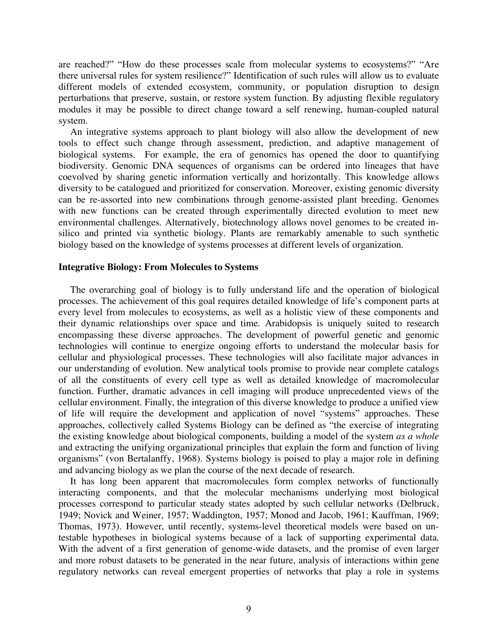are reached?" "How do these processes scale from molecular systems to ecosystems?" "Are there universal rules for system resilience?" Identification of such rules will allow us to evaluate different models of extended ecosystem, community, or population disruption to design perturbations that preserve, sustain, or restore system function. By adjusting flexible regulatory modules it may be possible to direct change toward a self renewing, human-coupled natural system.

An integrative systems approach to plant biology will also allow the development of new tools to effect such change through assessment, prediction, and adaptive management of biological systems. For example, the era of genomics has opened the door to quantifying biodiversity. Genomic DNA sequences of organisms can be ordered into lineages that have coevolved by sharing genetic information vertically and horizontally. This knowledge allows diversity to be catalogued and prioritized for conservation. Moreover, existing genomic diversity can be re-assorted into new combinations through genome-assisted plant breeding. Genomes with new functions can be created through experimentally directed evolution to meet new environmental challenges. Alternatively, biotechnology allows novel genomes to be created insilico and printed via synthetic biology. Plants are remarkably amenable to such synthetic biology based on the knowledge of systems processes at different levels of organization.

# **Integrative Biology: From Molecules to Systems**

The overarching goal of biology is to fully understand life and the operation of biological processes. The achievement of this goal requires detailed knowledge of life's component parts at every level from molecules to ecosystems, as well as a holistic view of these components and their dynamic relationships over space and time. Arabidopsis is uniquely suited to research encompassing these diverse approaches. The development of powerful genetic and genomic technologies will continue to energize ongoing efforts to understand the molecular basis for cellular and physiological processes. These technologies will also facilitate major advances in our understanding of evolution. New analytical tools promise to provide near complete catalogs of all the constituents of every cell type as well as detailed knowledge of macromolecular function. Further, dramatic advances in cell imaging will produce unprecedented views of the cellular environment. Finally, the integration of this diverse knowledge to produce a unified view of life will require the development and application of novel "systems" approaches. These approaches, collectively called Systems Biology can be defined as "the exercise of integrating the existing knowledge about biological components, building a model of the system *as a whole* and extracting the unifying organizational principles that explain the form and function of living organisms" (von Bertalanffy, 1968). Systems biology is poised to play a major role in defining and advancing biology as we plan the course of the next decade of research.

It has long been apparent that macromolecules form complex networks of functionally interacting components, and that the molecular mechanisms underlying most biological processes correspond to particular steady states adopted by such cellular networks (Delbruck, 1949; Novick and Weiner, 1957; Waddington, 1957; Monod and Jacob, 1961; Kauffman, 1969; Thomas, 1973). However, until recently, systems-level theoretical models were based on untestable hypotheses in biological systems because of a lack of supporting experimental data. With the advent of a first generation of genome-wide datasets, and the promise of even larger and more robust datasets to be generated in the near future, analysis of interactions within gene regulatory networks can reveal emergent properties of networks that play a role in systems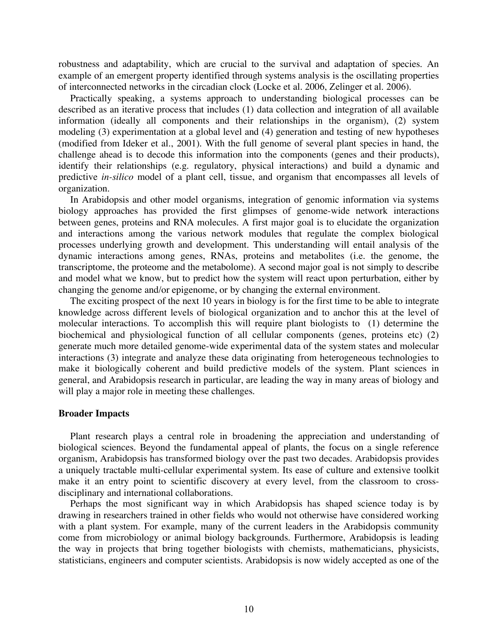robustness and adaptability, which are crucial to the survival and adaptation of species. An example of an emergent property identified through systems analysis is the oscillating properties of interconnected networks in the circadian clock (Locke et al. 2006, Zelinger et al. 2006).

Practically speaking, a systems approach to understanding biological processes can be described as an iterative process that includes (1) data collection and integration of all available information (ideally all components and their relationships in the organism), (2) system modeling (3) experimentation at a global level and (4) generation and testing of new hypotheses (modified from Ideker et al., 2001). With the full genome of several plant species in hand, the challenge ahead is to decode this information into the components (genes and their products), identify their relationships (e.g. regulatory, physical interactions) and build a dynamic and predictive *in-silico* model of a plant cell, tissue, and organism that encompasses all levels of organization.

In Arabidopsis and other model organisms, integration of genomic information via systems biology approaches has provided the first glimpses of genome-wide network interactions between genes, proteins and RNA molecules. A first major goal is to elucidate the organization and interactions among the various network modules that regulate the complex biological processes underlying growth and development. This understanding will entail analysis of the dynamic interactions among genes, RNAs, proteins and metabolites (i.e. the genome, the transcriptome, the proteome and the metabolome). A second major goal is not simply to describe and model what we know, but to predict how the system will react upon perturbation, either by changing the genome and/or epigenome, or by changing the external environment.

The exciting prospect of the next 10 years in biology is for the first time to be able to integrate knowledge across different levels of biological organization and to anchor this at the level of molecular interactions. To accomplish this will require plant biologists to (1) determine the biochemical and physiological function of all cellular components (genes, proteins etc) (2) generate much more detailed genome-wide experimental data of the system states and molecular interactions (3) integrate and analyze these data originating from heterogeneous technologies to make it biologically coherent and build predictive models of the system. Plant sciences in general, and Arabidopsis research in particular, are leading the way in many areas of biology and will play a major role in meeting these challenges.

#### **Broader Impacts**

Plant research plays a central role in broadening the appreciation and understanding of biological sciences. Beyond the fundamental appeal of plants, the focus on a single reference organism, Arabidopsis has transformed biology over the past two decades. Arabidopsis provides a uniquely tractable multi-cellular experimental system. Its ease of culture and extensive toolkit make it an entry point to scientific discovery at every level, from the classroom to crossdisciplinary and international collaborations.

Perhaps the most significant way in which Arabidopsis has shaped science today is by drawing in researchers trained in other fields who would not otherwise have considered working with a plant system. For example, many of the current leaders in the Arabidopsis community come from microbiology or animal biology backgrounds. Furthermore, Arabidopsis is leading the way in projects that bring together biologists with chemists, mathematicians, physicists, statisticians, engineers and computer scientists. Arabidopsis is now widely accepted as one of the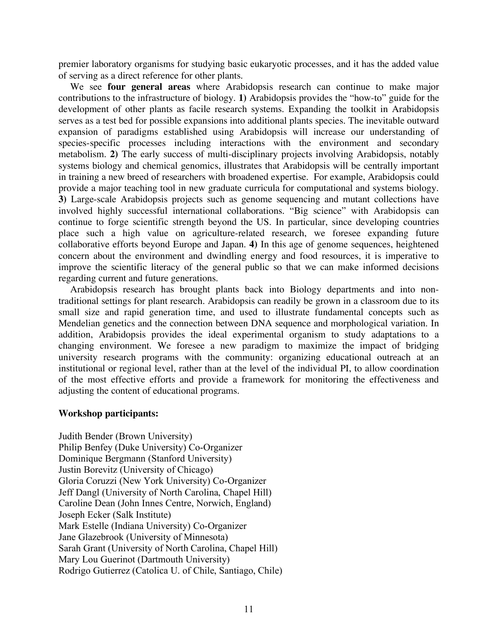premier laboratory organisms for studying basic eukaryotic processes, and it has the added value of serving as a direct reference for other plants.

We see **four general areas** where Arabidopsis research can continue to make major contributions to the infrastructure of biology. **1)** Arabidopsis provides the "how-to" guide for the development of other plants as facile research systems. Expanding the toolkit in Arabidopsis serves as a test bed for possible expansions into additional plants species. The inevitable outward expansion of paradigms established using Arabidopsis will increase our understanding of species-specific processes including interactions with the environment and secondary metabolism. **2)** The early success of multi-disciplinary projects involving Arabidopsis, notably systems biology and chemical genomics, illustrates that Arabidopsis will be centrally important in training a new breed of researchers with broadened expertise. For example, Arabidopsis could provide a major teaching tool in new graduate curricula for computational and systems biology. **3)** Large-scale Arabidopsis projects such as genome sequencing and mutant collections have involved highly successful international collaborations. "Big science" with Arabidopsis can continue to forge scientific strength beyond the US. In particular, since developing countries place such a high value on agriculture-related research, we foresee expanding future collaborative efforts beyond Europe and Japan. **4)** In this age of genome sequences, heightened concern about the environment and dwindling energy and food resources, it is imperative to improve the scientific literacy of the general public so that we can make informed decisions regarding current and future generations.

Arabidopsis research has brought plants back into Biology departments and into nontraditional settings for plant research. Arabidopsis can readily be grown in a classroom due to its small size and rapid generation time, and used to illustrate fundamental concepts such as Mendelian genetics and the connection between DNA sequence and morphological variation. In addition, Arabidopsis provides the ideal experimental organism to study adaptations to a changing environment. We foresee a new paradigm to maximize the impact of bridging university research programs with the community: organizing educational outreach at an institutional or regional level, rather than at the level of the individual PI, to allow coordination of the most effective efforts and provide a framework for monitoring the effectiveness and adjusting the content of educational programs.

# **Workshop participants:**

Judith Bender (Brown University) Philip Benfey (Duke University) Co-Organizer Dominique Bergmann (Stanford University) Justin Borevitz (University of Chicago) Gloria Coruzzi (New York University) Co-Organizer Jeff Dangl (University of North Carolina, Chapel Hill) Caroline Dean (John Innes Centre, Norwich, England) Joseph Ecker (Salk Institute) Mark Estelle (Indiana University) Co-Organizer Jane Glazebrook (University of Minnesota) Sarah Grant (University of North Carolina, Chapel Hill) Mary Lou Guerinot (Dartmouth University) Rodrigo Gutierrez (Catolica U. of Chile, Santiago, Chile)